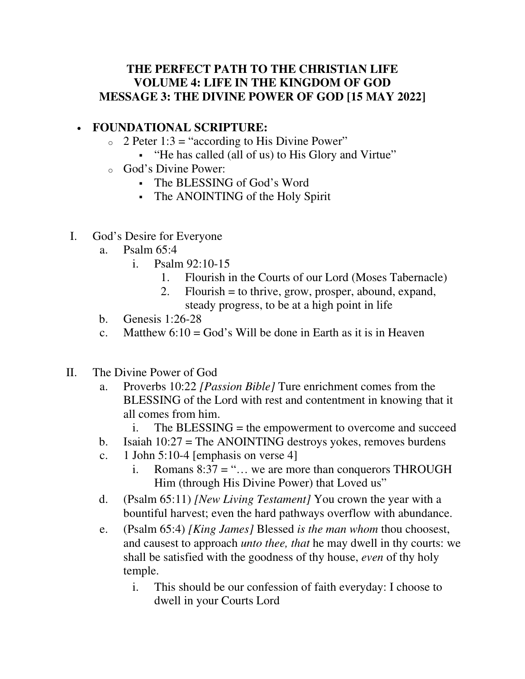## **THE PERFECT PATH TO THE CHRISTIAN LIFE VOLUME 4: LIFE IN THE KINGDOM OF GOD MESSAGE 3: THE DIVINE POWER OF GOD [15 MAY 2022]**

## • **FOUNDATIONAL SCRIPTURE:**

- $\circ$  2 Peter 1:3 = "according to His Divine Power"
	- "He has called (all of us) to His Glory and Virtue"
- o God's Divine Power:
	- The BLESSING of God's Word
	- The ANOINTING of the Holy Spirit
- I. God's Desire for Everyone
	- a. Psalm 65:4
		- i. Psalm 92:10-15
			- 1. Flourish in the Courts of our Lord (Moses Tabernacle)
			- 2. Flourish = to thrive, grow, prosper, abound, expand, steady progress, to be at a high point in life
	- b. Genesis 1:26-28
	- c. Matthew  $6:10 = God$ 's Will be done in Earth as it is in Heaven
- II. The Divine Power of God
	- a. Proverbs 10:22 *[Passion Bible]* Ture enrichment comes from the BLESSING of the Lord with rest and contentment in knowing that it all comes from him.
		- i. The BLESSING = the empowerment to overcome and succeed
	- b. Isaiah  $10:27$  = The ANOINTING destroys yokes, removes burdens
	- c. 1 John 5:10-4 [emphasis on verse 4]
		- i. Romans  $8:37 =$  "... we are more than conquerors THROUGH Him (through His Divine Power) that Loved us"
	- d. (Psalm 65:11) *[New Living Testament]* You crown the year with a bountiful harvest; even the hard pathways overflow with abundance.
	- e. (Psalm 65:4) *[King James]* Blessed *is the man whom* thou choosest, and causest to approach *unto thee, that* he may dwell in thy courts: we shall be satisfied with the goodness of thy house, *even* of thy holy temple.
		- i. This should be our confession of faith everyday: I choose to dwell in your Courts Lord